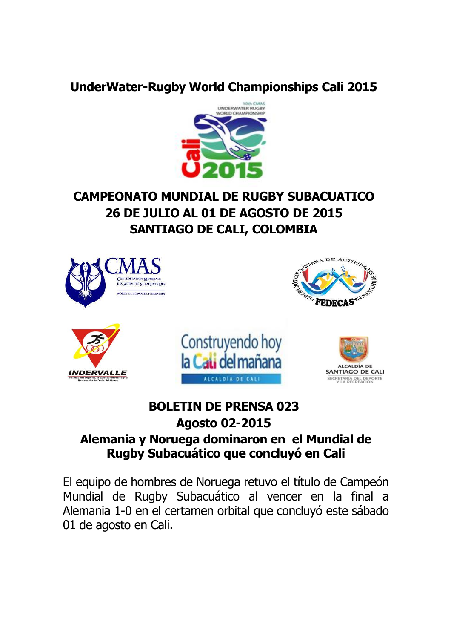## **UnderWater-Rugby World Championships Cali 2015**



# **CAMPEONATO MUNDIAL DE RUGBY SUBACUATICO 26 DE JULIO AL 01 DE AGOSTO DE 2015 SANTIAGO DE CALI, COLOMBIA**



## **BOLETIN DE PRENSA 023 Agosto 02-2015**

## **Alemania y Noruega dominaron en el Mundial de Rugby Subacuático que concluyó en Cali**

El equipo de hombres de Noruega retuvo el título de Campeón Mundial de Rugby Subacuático al vencer en la final a Alemania 1-0 en el certamen orbital que concluyó este sábado 01 de agosto en Cali.